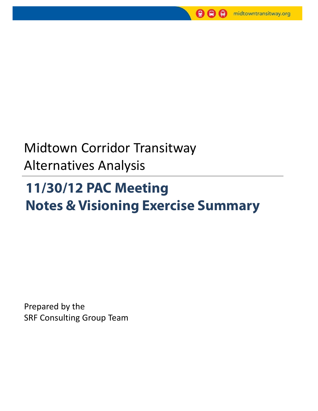

# Midtown Corridor Transitway Alternatives Analysis

# **11/30/12 PAC Meeting Notes & Visioning Exercise Summary**

Prepared by the SRF Consulting Group Team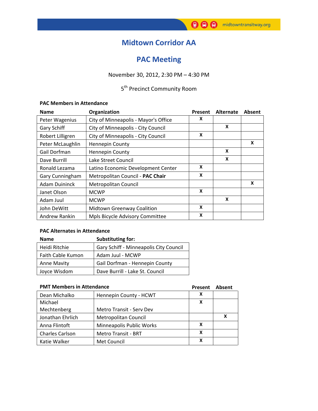### **Midtown Corridor AA**

### **PAC Meeting**

### November 30, 2012, 2:30 PM – 4:30 PM

### 5<sup>th</sup> Precinct Community Room

#### **PAC Members in Attendance**

| <b>Name</b>                                | Organization                         | Present | <b>Alternate</b> | Absent |
|--------------------------------------------|--------------------------------------|---------|------------------|--------|
| Peter Wagenius                             | City of Minneapolis - Mayor's Office |         |                  |        |
| Gary Schiff                                | City of Minneapolis - City Council   |         | X                |        |
| Robert Lilligren                           | City of Minneapolis - City Council   | X       |                  |        |
| Peter McLaughlin<br><b>Hennepin County</b> |                                      |         |                  | X      |
| Gail Dorfman                               | <b>Hennepin County</b>               |         | X                |        |
| Dave Burrill                               | Lake Street Council                  |         | X                |        |
| Ronald Lezama                              | Latino Economic Development Center   | X       |                  |        |
| Gary Cunningham                            | Metropolitan Council - PAC Chair     | X       |                  |        |
| <b>Adam Duininck</b>                       | Metropolitan Council                 |         |                  | X      |
| Janet Olson                                | <b>MCWP</b>                          | X       |                  |        |
| Adam Juul                                  | <b>MCWP</b>                          |         | X                |        |
| John DeWitt                                | <b>Midtown Greenway Coalition</b>    | X       |                  |        |
| Andrew Rankin                              | Mpls Bicycle Advisory Committee      | X       |                  |        |

#### **PAC Alternates in Attendance**

| <b>Name</b>        | <b>Substituting for:</b>               |
|--------------------|----------------------------------------|
| Heidi Ritchie      | Gary Schiff - Minneapolis City Council |
| Faith Cable Kumon  | Adam Juul - MCWP                       |
| <b>Anne Mavity</b> | Gail Dorfman - Hennepin County         |
| Joyce Wisdom       | Dave Burrill - Lake St. Council        |

#### **PMT Members in Attendance Present Absent**

|                        |                            | . | <b>AMJULIIL</b> |
|------------------------|----------------------------|---|-----------------|
| Dean Michalko          | Hennepin County - HCWT     |   |                 |
| Michael                |                            |   |                 |
| Mechtenberg            | Metro Transit - Serv Dev   |   |                 |
| Jonathan Ehrlich       | Metropolitan Council       |   | x               |
| Anna Flintoft          | Minneapolis Public Works   |   |                 |
| <b>Charles Carlson</b> | <b>Metro Transit - BRT</b> |   |                 |
| Katie Walker           | Met Council                |   |                 |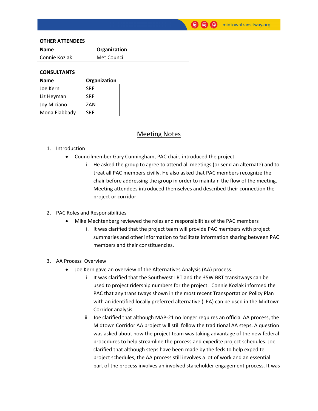#### **OTHER ATTENDEES**

| <b>Name</b>   | Organization |
|---------------|--------------|
| Connie Kozlak | Met Council  |
|               |              |

#### **CONSULTANTS**

| <b>Name</b>   | Organization |
|---------------|--------------|
| Joe Kern      | <b>SRF</b>   |
| Liz Heyman    | <b>SRF</b>   |
| Joy Miciano   | ZAN          |
| Mona Elabbady | <b>SRF</b>   |

#### Meeting Notes

#### 1. Introduction

- Councilmember Gary Cunningham, PAC chair, introduced the project.
	- i. He asked the group to agree to attend all meetings (or send an alternate) and to treat all PAC members civilly. He also asked that PAC members recognize the chair before addressing the group in order to maintain the flow of the meeting. Meeting attendees introduced themselves and described their connection the project or corridor.

#### 2. PAC Roles and Responsibilities

- Mike Mechtenberg reviewed the roles and responsibilities of the PAC members
	- i. It was clarified that the project team will provide PAC members with project summaries and other information to facilitate information sharing between PAC members and their constituencies.

#### 3. AA Process Overview

- Joe Kern gave an overview of the Alternatives Analysis (AA) process.
	- i. It was clarified that the Southwest LRT and the 35W BRT transitways can be used to project ridership numbers for the project. Connie Kozlak informed the PAC that any transitways shown in the most recent Transportation Policy Plan with an identified locally preferred alternative (LPA) can be used in the Midtown Corridor analysis.
	- ii. Joe clarified that although MAP-21 no longer requires an official AA process, the Midtown Corridor AA project will still follow the traditional AA steps. A question was asked about how the project team was taking advantage of the new federal procedures to help streamline the process and expedite project schedules. Joe clarified that although steps have been made by the feds to help expedite project schedules, the AA process still involves a lot of work and an essential part of the process involves an involved stakeholder engagement process. It was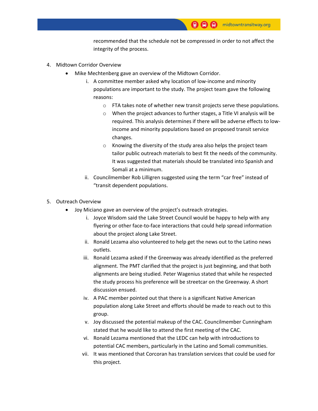recommended that the schedule not be compressed in order to not affect the integrity of the process.

- 4. Midtown Corridor Overview
	- Mike Mechtenberg gave an overview of the Midtown Corridor.
		- i. A committee member asked why location of low-income and minority populations are important to the study. The project team gave the following reasons:
			- o FTA takes note of whether new transit projects serve these populations.
			- o When the project advances to further stages, a Title VI analysis will be required. This analysis determines if there will be adverse effects to lowincome and minority populations based on proposed transit service changes.
			- o Knowing the diversity of the study area also helps the project team tailor public outreach materials to best fit the needs of the community. It was suggested that materials should be translated into Spanish and Somali at a minimum.
		- ii. Councilmember Rob Lilligren suggested using the term "car free" instead of "transit dependent populations.
- 5. Outreach Overview
	- Joy Miciano gave an overview of the project's outreach strategies.
		- i. Joyce Wisdom said the Lake Street Council would be happy to help with any flyering or other face-to-face interactions that could help spread information about the project along Lake Street.
		- ii. Ronald Lezama also volunteered to help get the news out to the Latino news outlets.
		- iii. Ronald Lezama asked if the Greenway was already identified as the preferred alignment. The PMT clarified that the project is just beginning, and that both alignments are being studied. Peter Wagenius stated that while he respected the study process his preference will be streetcar on the Greenway. A short discussion ensued.
		- iv. A PAC member pointed out that there is a significant Native American population along Lake Street and efforts should be made to reach out to this group.
		- v. Joy discussed the potential makeup of the CAC. Councilmember Cunningham stated that he would like to attend the first meeting of the CAC.
		- vi. Ronald Lezama mentioned that the LEDC can help with introductions to potential CAC members, particularly in the Latino and Somali communities.
		- vii. It was mentioned that Corcoran has translation services that could be used for this project.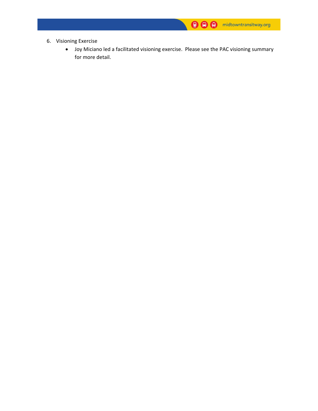- 6. Visioning Exercise
	- Joy Miciano led a facilitated visioning exercise. Please see the PAC visioning summary for more detail.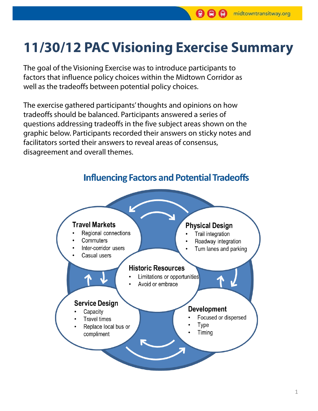# **11/30/12 PAC Visioning Exercise Summary**

The goal of the Visioning Exercise was to introduce participants to factors that influence policy choices within the Midtown Corridor as well as the tradeoffs between potential policy choices.

The exercise gathered participants' thoughts and opinions on how tradeoffs should be balanced. Participants answered a series of questions addressing tradeoffs in the five subject areas shown on the graphic below. Participants recorded their answers on sticky notes and facilitators sorted their answers to reveal areas of consensus, disagreement and overall themes.



**Influencing Factors and Potential Tradeoffs**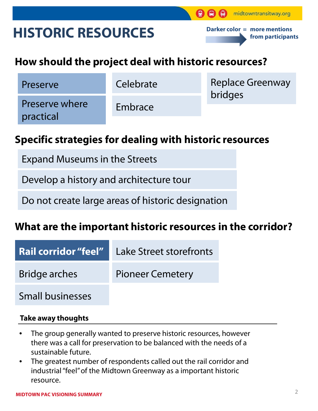# **HISTORIC RESOURCES**

**Darker color = more mentions from participants**

midtowntransitway.org

## **How should the project deal with historic resources?**

Preserve Celebrate

Preserve where practical

Embrace

Replace Greenway bridges

## **Specific strategies for dealing with historic resources**

- Expand Museums in the Streets
- Develop a history and architecture tour
- Do not create large areas of historic designation

## **What are the important historic resources in the corridor?**

| <b>Rail corridor "feel"</b> | Lake Street storefronts |
|-----------------------------|-------------------------|
| Bridge arches               | <b>Pioneer Cemetery</b> |
| <b>Small businesses</b>     |                         |

### **Take away thoughts**

- The group generally wanted to preserve historic resources, however there was a call for preservation to be balanced with the needs of a sustainable future.
- The greatest number of respondents called out the rail corridor and industrial "feel" of the Midtown Greenway as a important historic resource.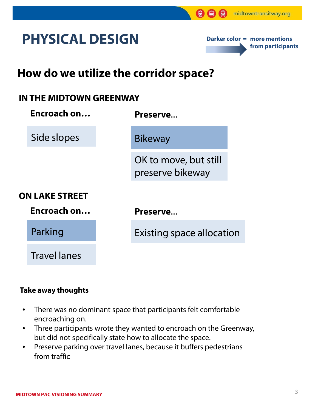# **PHYSICAL DESIGN**



## **How do we utilize the corridor space?**

### **IN THE MIDTOWN GREENWAY**

| Encroach on                          | Preserve                                  |  |
|--------------------------------------|-------------------------------------------|--|
| Side slopes                          | <b>Bikeway</b>                            |  |
|                                      | OK to move, but still<br>preserve bikeway |  |
| <b>ON LAKE STREET</b><br>Encroach on | Preserve                                  |  |
| Parking                              | <b>Existing space allocation</b>          |  |
| <b>Travel lanes</b>                  |                                           |  |

### **Take away thoughts**

- There was no dominant space that participants felt comfortable encroaching on.
- Three participants wrote they wanted to encroach on the Greenway, but did not specifically state how to allocate the space.
- Preserve parking over travel lanes, because it buffers pedestrians from traffic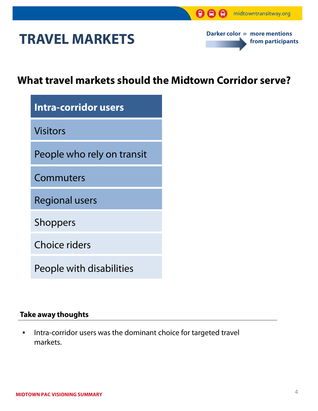# **TRAVEL MARKETS**



## **What travel markets should the Midtown Corridor serve?**

| Intra-corridor users       |  |  |
|----------------------------|--|--|
| <b>Visitors</b>            |  |  |
| People who rely on transit |  |  |
| Commuters                  |  |  |
| <b>Regional users</b>      |  |  |
| <b>Shoppers</b>            |  |  |
| Choice riders              |  |  |

People with disabilities

### **Take away thoughts**

• Intra-corridor users was the dominant choice for targeted travel markets.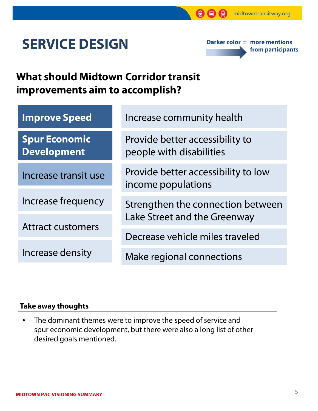# **SERVICE DESIGN**

**Darker color = more mentions from participants**

## **What should Midtown Corridor transit improvements aim to accomplish?**

| <b>Improve Speed</b>                       | Increase community health                                         |  |
|--------------------------------------------|-------------------------------------------------------------------|--|
| <b>Spur Economic</b><br><b>Development</b> | Provide better accessibility to<br>people with disabilities       |  |
| Increase transit use                       | Provide better accessibility to low<br>income populations         |  |
| Increase frequency                         | Strengthen the connection between<br>Lake Street and the Greenway |  |
| <b>Attract customers</b>                   |                                                                   |  |
|                                            | Decrease vehicle miles traveled                                   |  |
| Increase density                           | Make regional connections                                         |  |

### **Take away thoughts**

• The dominant themes were to improve the speed of service and spur economic development, but there were also a long list of other desired goals mentioned.